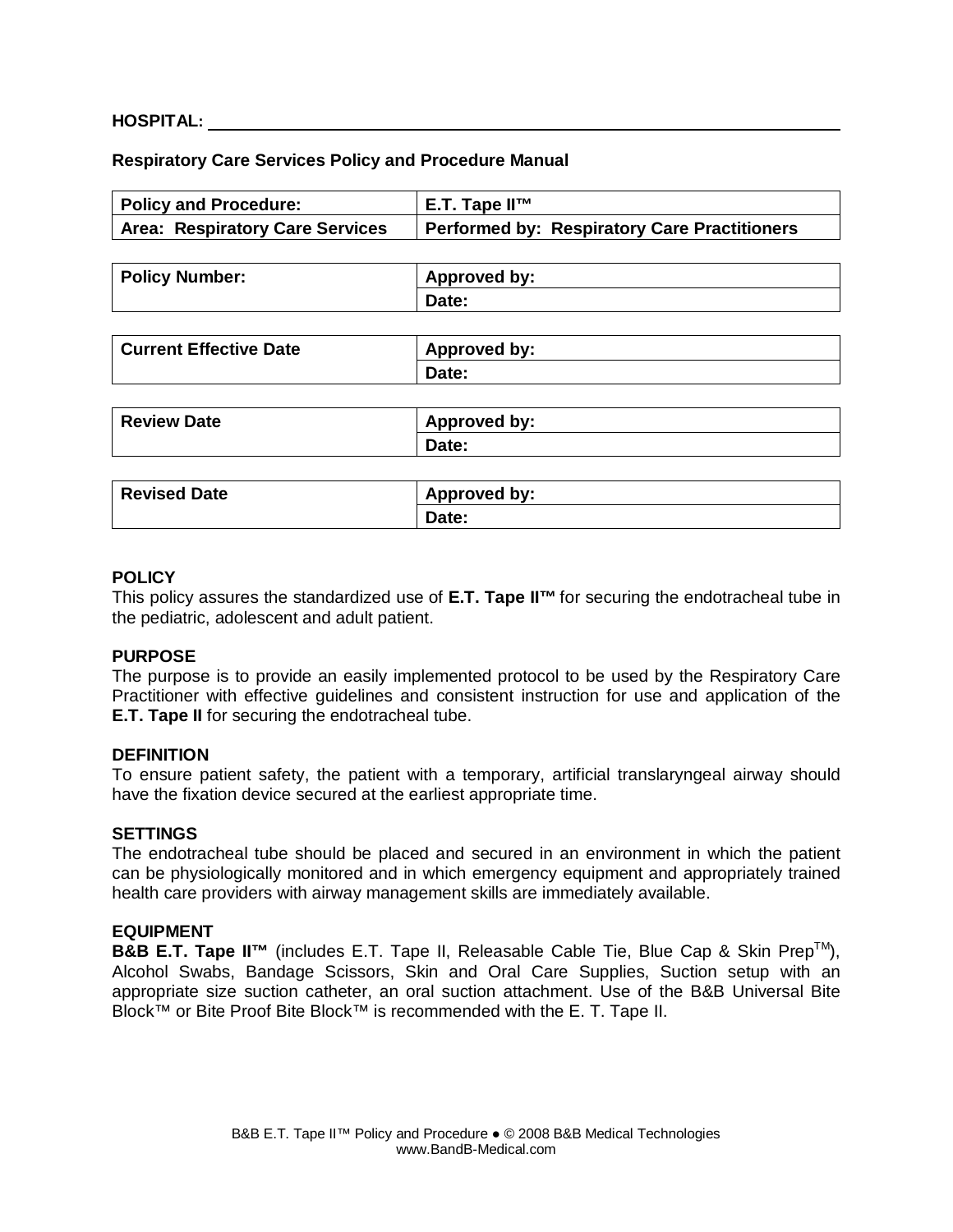### **HOSPITAL:**

#### **Respiratory Care Services Policy and Procedure Manual**

| E.T. Tape II™                                       |
|-----------------------------------------------------|
| <b>Performed by: Respiratory Care Practitioners</b> |
|                                                     |
| <b>Approved by:</b>                                 |
| Date:                                               |
|                                                     |
| <b>Approved by:</b>                                 |
| Date:                                               |
|                                                     |
| <b>Approved by:</b>                                 |
| Date:                                               |
|                                                     |
| <b>Approved by:</b>                                 |
| Date:                                               |
|                                                     |

### **POLICY**

This policy assures the standardized use of **E.T. Tape II™** for securing the endotracheal tube in the pediatric, adolescent and adult patient.

### **PURPOSE**

The purpose is to provide an easily implemented protocol to be used by the Respiratory Care Practitioner with effective guidelines and consistent instruction for use and application of the **E.T. Tape II** for securing the endotracheal tube.

#### **DEFINITION**

To ensure patient safety, the patient with a temporary, artificial translaryngeal airway should have the fixation device secured at the earliest appropriate time.

#### **SETTINGS**

The endotracheal tube should be placed and secured in an environment in which the patient can be physiologically monitored and in which emergency equipment and appropriately trained health care providers with airway management skills are immediately available.

### **EQUIPMENT**

**B&B E.T. Tape II™** (includes E.T. Tape II, Releasable Cable Tie, Blue Cap & Skin Prep<sup>™</sup>), Alcohol Swabs, Bandage Scissors, Skin and Oral Care Supplies, Suction setup with an appropriate size suction catheter, an oral suction attachment. Use of the B&B Universal Bite Block™ or Bite Proof Bite Block™ is recommended with the E. T. Tape II.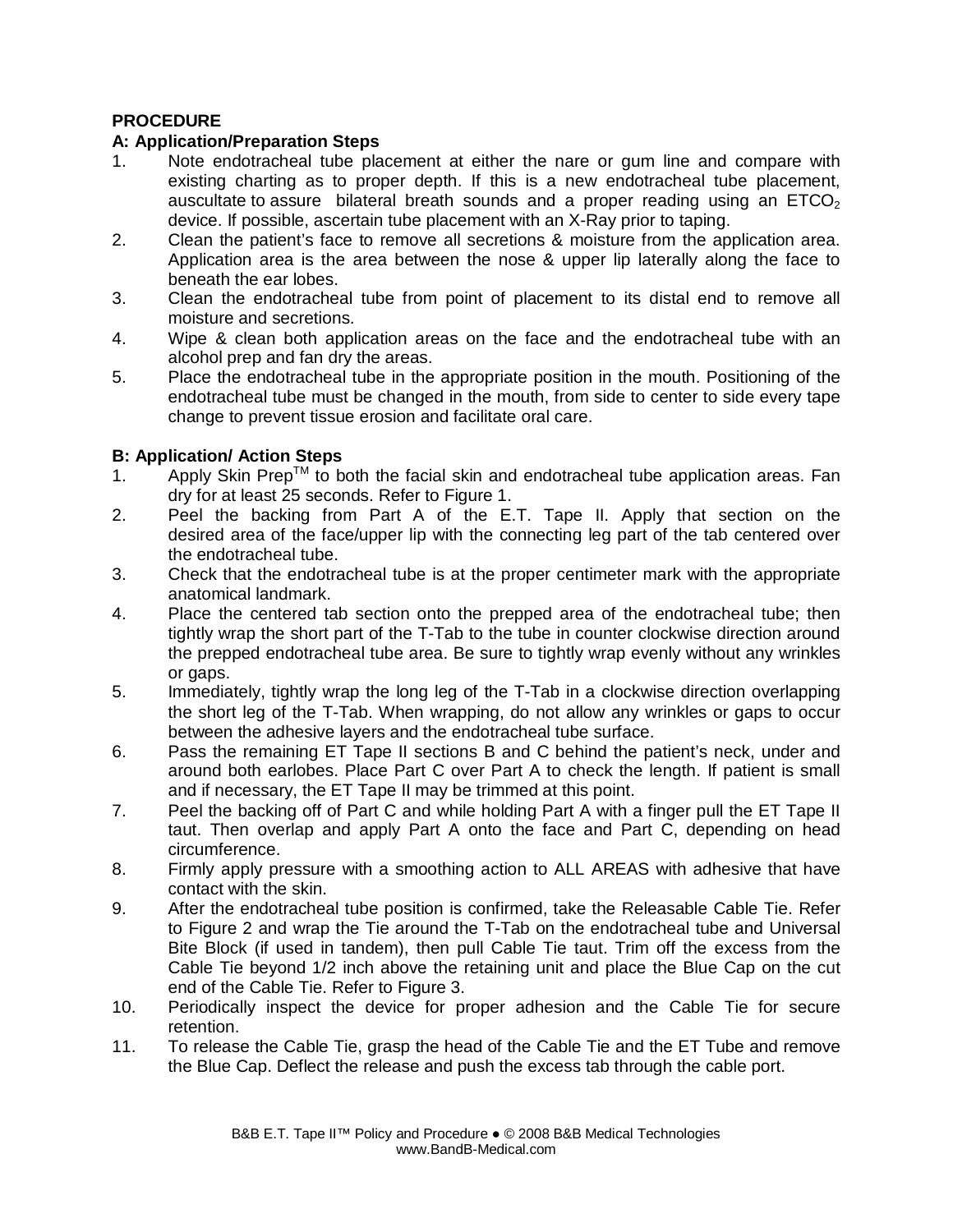# **PROCEDURE**

## **A: Application/Preparation Steps**

- 1. Note endotracheal tube placement at either the nare or gum line and compare with existing charting as to proper depth. If this is a new endotracheal tube placement, auscultate to assure bilateral breath sounds and a proper reading using an  $ETCO<sub>2</sub>$ device. If possible, ascertain tube placement with an X-Ray prior to taping.
- 2. Clean the patient's face to remove all secretions & moisture from the application area. Application area is the area between the nose & upper lip laterally along the face to beneath the ear lobes.
- 3. Clean the endotracheal tube from point of placement to its distal end to remove all moisture and secretions.
- 4. Wipe & clean both application areas on the face and the endotracheal tube with an alcohol prep and fan dry the areas.
- 5. Place the endotracheal tube in the appropriate position in the mouth. Positioning of the endotracheal tube must be changed in the mouth, from side to center to side every tape change to prevent tissue erosion and facilitate oral care.

# **B: Application/ Action Steps**

- 1. Apply Skin Prep<sup>TM</sup> to both the facial skin and endotracheal tube application areas. Fan dry for at least 25 seconds. Refer to Figure 1.
- 2. Peel the backing from Part A of the E.T. Tape II. Apply that section on the desired area of the face/upper lip with the connecting leg part of the tab centered over the endotracheal tube.
- 3. Check that the endotracheal tube is at the proper centimeter mark with the appropriate anatomical landmark.
- 4. Place the centered tab section onto the prepped area of the endotracheal tube; then tightly wrap the short part of the T-Tab to the tube in counter clockwise direction around the prepped endotracheal tube area. Be sure to tightly wrap evenly without any wrinkles or gaps.
- 5. Immediately, tightly wrap the long leg of the T-Tab in a clockwise direction overlapping the short leg of the T-Tab. When wrapping, do not allow any wrinkles or gaps to occur between the adhesive layers and the endotracheal tube surface.
- 6. Pass the remaining ET Tape II sections B and C behind the patient's neck, under and around both earlobes. Place Part C over Part A to check the length. If patient is small and if necessary, the ET Tape II may be trimmed at this point.
- 7. Peel the backing off of Part C and while holding Part A with a finger pull the ET Tape II taut. Then overlap and apply Part A onto the face and Part C, depending on head circumference.
- 8. Firmly apply pressure with a smoothing action to ALL AREAS with adhesive that have contact with the skin.
- 9. After the endotracheal tube position is confirmed, take the Releasable Cable Tie. Refer to Figure 2 and wrap the Tie around the T-Tab on the endotracheal tube and Universal Bite Block (if used in tandem), then pull Cable Tie taut. Trim off the excess from the Cable Tie beyond 1/2 inch above the retaining unit and place the Blue Cap on the cut end of the Cable Tie. Refer to Figure 3.
- 10. Periodically inspect the device for proper adhesion and the Cable Tie for secure retention.
- 11. To release the Cable Tie, grasp the head of the Cable Tie and the ET Tube and remove the Blue Cap. Deflect the release and push the excess tab through the cable port.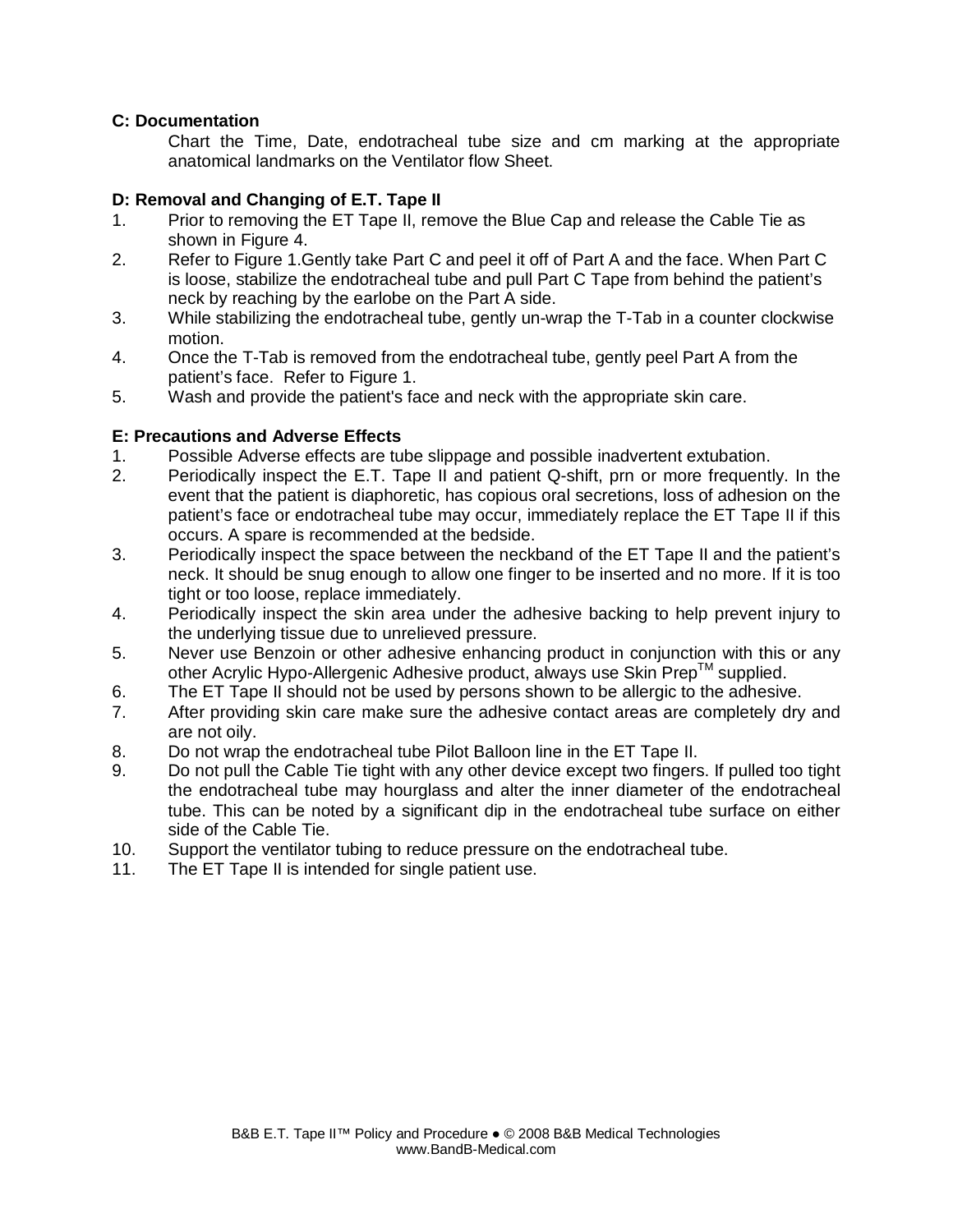# **C: Documentation**

 Chart the Time, Date, endotracheal tube size and cm marking at the appropriate anatomical landmarks on the Ventilator flow Sheet.

## **D: Removal and Changing of E.T. Tape II**

- 1. Prior to removing the ET Tape II, remove the Blue Cap and release the Cable Tie as shown in Figure 4.
- 2. Refer to Figure 1.Gently take Part C and peel it off of Part A and the face. When Part C is loose, stabilize the endotracheal tube and pull Part C Tape from behind the patient's neck by reaching by the earlobe on the Part A side.
- 3. While stabilizing the endotracheal tube, gently un-wrap the T-Tab in a counter clockwise motion.
- 4. Once the T-Tab is removed from the endotracheal tube, gently peel Part A from the patient's face. Refer to Figure 1.
- 5. Wash and provide the patient's face and neck with the appropriate skin care.

## **E: Precautions and Adverse Effects**

- 1. Possible Adverse effects are tube slippage and possible inadvertent extubation.
- 2. Periodically inspect the E.T. Tape II and patient Q-shift, prn or more frequently. In the event that the patient is diaphoretic, has copious oral secretions, loss of adhesion on the patient's face or endotracheal tube may occur, immediately replace the ET Tape II if this occurs. A spare is recommended at the bedside.
- 3. Periodically inspect the space between the neckband of the ET Tape II and the patient's neck. It should be snug enough to allow one finger to be inserted and no more. If it is too tight or too loose, replace immediately.
- 4. Periodically inspect the skin area under the adhesive backing to help prevent injury to the underlying tissue due to unrelieved pressure.
- 5. Never use Benzoin or other adhesive enhancing product in conjunction with this or any other Acrylic Hypo-Allergenic Adhesive product, always use Skin Prep™ supplied.
- 6. The ET Tape II should not be used by persons shown to be allergic to the adhesive.
- 7. After providing skin care make sure the adhesive contact areas are completely dry and are not oily.
- 8. Do not wrap the endotracheal tube Pilot Balloon line in the ET Tape II.
- 9. Do not pull the Cable Tie tight with any other device except two fingers. If pulled too tight the endotracheal tube may hourglass and alter the inner diameter of the endotracheal tube. This can be noted by a significant dip in the endotracheal tube surface on either side of the Cable Tie.
- 10. Support the ventilator tubing to reduce pressure on the endotracheal tube.
- 11. The ET Tape II is intended for single patient use.